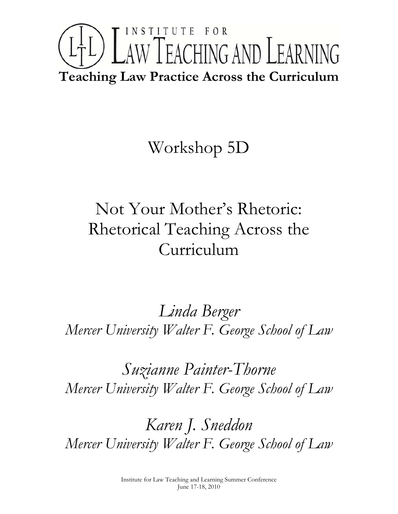# INSTITUTE FOR LTL) LAW TEACHING AND LEARNING **Teaching Law Practice Across the Curriculum**

## Workshop 5D

## Not Your Mother's Rhetoric: Rhetorical Teaching Across the Curriculum

*Linda Berger Mercer University Walter F. George School of Law* 

*Suzianne Painter-Thorne Mercer University Walter F. George School of Law* 

*Karen J. Sneddon Mercer University Walter F. George School of Law*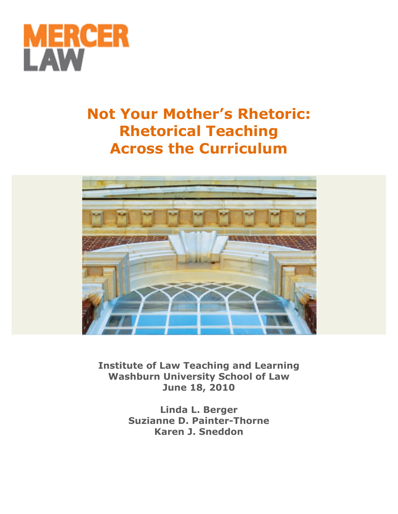

## **Not Your Mother's Rhetoric: Rhetorical Teaching Across the Curriculum**



**Institute of Law Teaching and Learning Washburn University School of Law June 18, 2010**

> **Linda L. Berger Suzianne D. Painter-Thorne Karen J. Sneddon**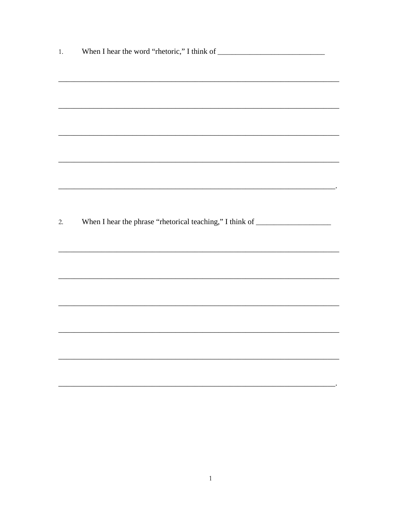|    | <u> 1989 - Johann Stoff, amerikansk politiker (* 1908)</u>                       |
|----|----------------------------------------------------------------------------------|
|    |                                                                                  |
|    |                                                                                  |
| 2. | When I hear the phrase "rhetorical teaching," I think of _______________________ |
|    |                                                                                  |
|    |                                                                                  |
|    |                                                                                  |
|    |                                                                                  |
|    |                                                                                  |
|    |                                                                                  |
|    |                                                                                  |
|    |                                                                                  |
|    |                                                                                  |
|    |                                                                                  |
|    |                                                                                  |
|    |                                                                                  |
|    |                                                                                  |
|    |                                                                                  |
|    |                                                                                  |
|    |                                                                                  |
|    |                                                                                  |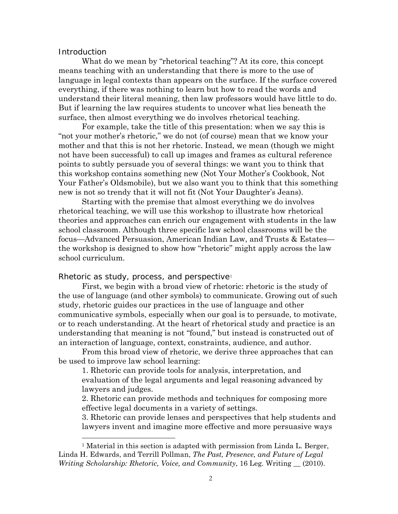### **Introduction**

 $\overline{a}$ 

What do we mean by "rhetorical teaching"? At its core, this concept means teaching with an understanding that there is more to the use of language in legal contexts than appears on the surface. If the surface covered everything, if there was nothing to learn but how to read the words and understand their literal meaning, then law professors would have little to do. But if learning the law requires students to uncover what lies beneath the surface, then almost everything we do involves rhetorical teaching.

For example, take the title of this presentation: when we say this is "not your mother's rhetoric," we do not (of course) mean that we know your mother and that this is not her rhetoric. Instead, we mean (though we might not have been successful) to call up images and frames as cultural reference points to subtly persuade you of several things: we want you to think that this workshop contains something new (Not Your Mother's Cookbook, Not Your Father's Oldsmobile), but we also want you to think that this something new is not so trendy that it will not fit (Not Your Daughter's Jeans).

Starting with the premise that almost everything we do involves rhetorical teaching, we will use this workshop to illustrate how rhetorical theories and approaches can enrich our engagement with students in the law school classroom. Although three specific law school classrooms will be the focus—Advanced Persuasion, American Indian Law, and Trusts & Estates the workshop is designed to show how "rhetoric" might apply across the law school curriculum.

Rhetoric as study, process, and perspective<sup>[1](#page-3-0)</sup>

 First, we begin with a broad view of rhetoric: rhetoric is the study of the use of language (and other symbols) to communicate. Growing out of such study, rhetoric guides our practices in the use of language and other communicative symbols, especially when our goal is to persuade, to motivate, or to reach understanding. At the heart of rhetorical study and practice is an understanding that meaning is not "found," but instead is constructed out of an interaction of language, context, constraints, audience, and author.

From this broad view of rhetoric, we derive three approaches that can be used to improve law school learning:

1. Rhetoric can provide tools for analysis, interpretation, and evaluation of the legal arguments and legal reasoning advanced by lawyers and judges.

2. Rhetoric can provide methods and techniques for composing more effective legal documents in a variety of settings.

3. Rhetoric can provide lenses and perspectives that help students and lawyers invent and imagine more effective and more persuasive ways

<span id="page-3-0"></span><sup>&</sup>lt;sup>1</sup> Material in this section is adapted with permission from Linda L. Berger, Linda H. Edwards, and Terrill Pollman, *The Past, Presence, and Future of Legal Writing Scholarship: Rhetoric, Voice, and Community*, 16 Leg. Writing \_\_ (2010).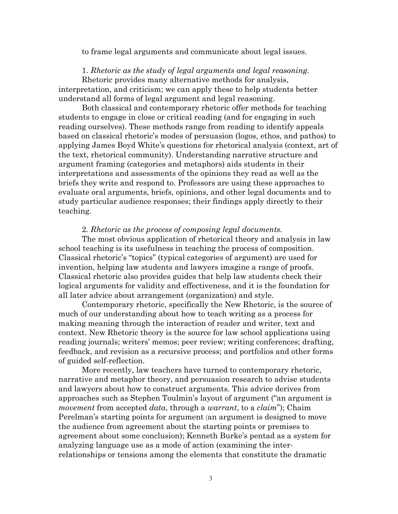to frame legal arguments and communicate about legal issues.

## 1. *Rhetoric as the study of legal arguments and legal reasoning.*

Rhetoric provides many alternative methods for analysis, interpretation, and criticism; we can apply these to help students better understand all forms of legal argument and legal reasoning.

 Both classical and contemporary rhetoric offer methods for teaching students to engage in close or critical reading (and for engaging in such reading ourselves). These methods range from reading to identify appeals based on classical rhetoric's modes of persuasion (logos, ethos, and pathos) to applying James Boyd White's questions for rhetorical analysis (context, art of the text, rhetorical community). Understanding narrative structure and argument framing (categories and metaphors) aids students in their interpretations and assessments of the opinions they read as well as the briefs they write and respond to. Professors are using these approaches to evaluate oral arguments, briefs, opinions, and other legal documents and to study particular audience responses; their findings apply directly to their teaching.

### 2*. Rhetoric as the process of composing legal documents.*

 The most obvious application of rhetorical theory and analysis in law school teaching is its usefulness in teaching the process of composition. Classical rhetoric's "topics" (typical categories of argument) are used for invention, helping law students and lawyers imagine a range of proofs. Classical rhetoric also provides guides that help law students check their logical arguments for validity and effectiveness, and it is the foundation for all later advice about arrangement (organization) and style.

 Contemporary rhetoric, specifically the New Rhetoric, is the source of much of our understanding about how to teach writing as a process for making meaning through the interaction of reader and writer, text and context. New Rhetoric theory is the source for law school applications using reading journals; writers' memos; peer review; writing conferences; drafting, feedback, and revision as a recursive process; and portfolios and other forms of guided self-reflection.

 More recently, law teachers have turned to contemporary rhetoric, narrative and metaphor theory, and persuasion research to advise students and lawyers about how to construct arguments. This advice derives from approaches such as Stephen Toulmin's layout of argument ("an argument is *movement* from accepted *data*, through a *warrant*, to a *claim*"); Chaim Perelman's starting points for argument (an argument is designed to move the audience from agreement about the starting points or premises to agreement about some conclusion); Kenneth Burke's pentad as a system for analyzing language use as a mode of action (examining the interrelationships or tensions among the elements that constitute the dramatic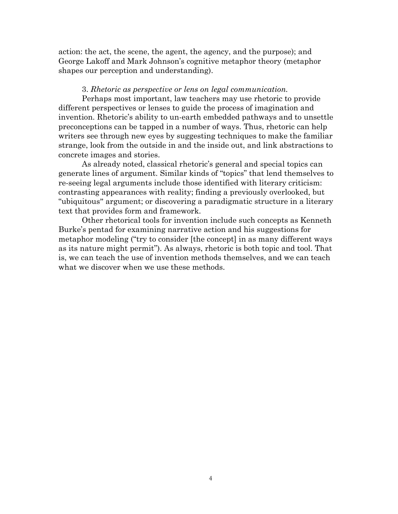action: the act, the scene, the agent, the agency, and the purpose); and George Lakoff and Mark Johnson's cognitive metaphor theory (metaphor shapes our perception and understanding).

## 3. *Rhetoric as perspective or lens on legal communication.*

 Perhaps most important, law teachers may use rhetoric to provide different perspectives or lenses to guide the process of imagination and invention. Rhetoric's ability to un-earth embedded pathways and to unsettle preconceptions can be tapped in a number of ways. Thus, rhetoric can help writers see through new eyes by suggesting techniques to make the familiar strange, look from the outside in and the inside out, and link abstractions to concrete images and stories.

As already noted, classical rhetoric's general and special topics can generate lines of argument. Similar kinds of "topics" that lend themselves to re-seeing legal arguments include those identified with literary criticism: contrasting appearances with reality; finding a previously overlooked, but "ubiquitous" argument; or discovering a paradigmatic structure in a literary text that provides form and framework.

Other rhetorical tools for invention include such concepts as Kenneth Burke's pentad for examining narrative action and his suggestions for metaphor modeling ("try to consider [the concept] in as many different ways as its nature might permit"). As always, rhetoric is both topic and tool. That is, we can teach the use of invention methods themselves, and we can teach what we discover when we use these methods.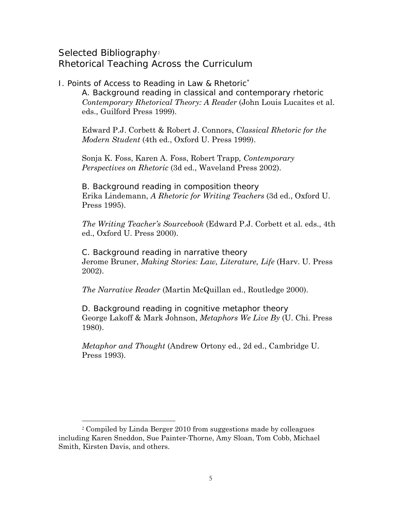## Selected Bibliography<sup>[2](#page-6-0)</sup> Rhetorical Teaching Across the Curriculum

I. Points of Access to Reading in Law & Rhetoric[∗](#page-6-1) A. *Background reading in classical and contemporary rhetoric Contemporary Rhetorical Theory: A Reader* (John Louis Lucaites et al. eds., Guilford Press 1999).

Edward P.J. Corbett & Robert J. Connors, *Classical Rhetoric for the Modern Student* (4th ed., Oxford U. Press 1999).

Sonja K. Foss, Karen A. Foss, Robert Trapp*, Contemporary Perspectives on Rhetoric* (3d ed., Waveland Press 2002).

B. *Background reading in composition theory*  Erika Lindemann, *A Rhetoric for Writing Teachers* (3d ed., Oxford U. Press 1995).

*The Writing Teacher's Sourcebook* (Edward P.J. Corbett et al. eds., 4th ed., Oxford U. Press 2000).

C. *Background reading in narrative theory*  Jerome Bruner, *Making Stories: Law, Literature, Life* (Harv. U. Press 2002).

*The Narrative Reader* (Martin McQuillan ed., Routledge 2000).

D. *Background reading in cognitive metaphor theory*  George Lakoff & Mark Johnson, *Metaphors We Live By* (U. Chi. Press 1980).

*Metaphor and Thought* (Andrew Ortony ed., 2d ed., Cambridge U. Press 1993).

 $\overline{a}$ 

<span id="page-6-1"></span><span id="page-6-0"></span><sup>2</sup> Compiled by Linda Berger 2010 from suggestions made by colleagues including Karen Sneddon, Sue Painter-Thorne, Amy Sloan, Tom Cobb, Michael Smith, Kirsten Davis, and others.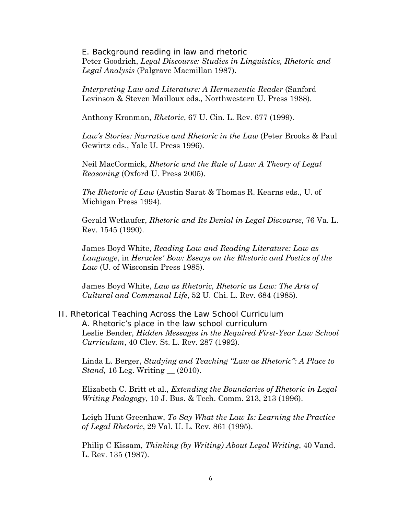E. *Background reading in law and rhetoric*  Peter Goodrich, *Legal Discourse: Studies in Linguistics, Rhetoric and Legal Analysis* (Palgrave Macmillan 1987).

*Interpreting Law and Literature: A Hermeneutic Reader* (Sanford Levinson & Steven Mailloux eds., Northwestern U. Press 1988).

Anthony Kronman, *Rhetoric*, 67 U. Cin. L. Rev. 677 (1999).

*Law's Stories: Narrative and Rhetoric in the Law* (Peter Brooks & Paul Gewirtz eds., Yale U. Press 1996).

Neil MacCormick, *Rhetoric and the Rule of Law: A Theory of Legal Reasoning* (Oxford U. Press 2005).

*The Rhetoric of Law* (Austin Sarat & Thomas R. Kearns eds., U. of Michigan Press 1994).

Gerald Wetlaufer, *Rhetoric and Its Denial in Legal Discourse*, 76 Va. L. Rev. 1545 (1990).

James Boyd White, *Reading Law and Reading Literature: Law as Language*, in *Heracles' Bow: Essays on the Rhetoric and Poetics of the Law* (U. of Wisconsin Press 1985).

James Boyd White, *Law as Rhetoric, Rhetoric as Law: The Arts of Cultural and Communal Life*, 52 U. Chi. L. Rev. 684 (1985).

## II. Rhetorical Teaching Across the Law School Curriculum *A. Rhetoric's place in the law school curriculum*  Leslie Bender, *Hidden Messages in the Required First-Year Law School Curriculum*, 40 Clev. St. L. Rev. 287 (1992).

Linda L. Berger, *Studying and Teaching "Law as Rhetoric": A Place to Stand*, 16 Leg. Writing \_\_ (2010).

Elizabeth C. Britt et al., *Extending the Boundaries of Rhetoric in Legal Writing Pedagogy*, 10 J. Bus. & Tech. Comm. 213, 213 (1996).

Leigh Hunt Greenhaw, *To Say What the Law Is: Learning the Practice of Legal Rhetoric*, 29 Val. U. L. Rev. 861 (1995).

Philip C Kissam, *Thinking (by Writing) About Legal Writing*, 40 Vand. L. Rev. 135 (1987).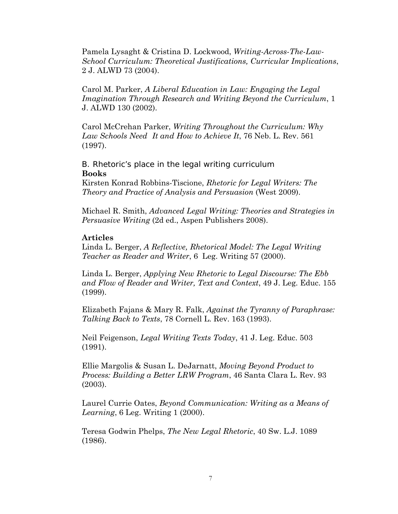Pamela Lysaght & Cristina D. Lockwood, *Writing-Across-The-Law-School Curriculum: Theoretical Justifications, Curricular Implications*, 2 J. ALWD 73 (2004).

Carol M. Parker, *A Liberal Education in Law: Engaging the Legal Imagination Through Research and Writing Beyond the Curriculum*, 1 J. ALWD 130 (2002).

Carol McCrehan Parker, *Writing Throughout the Curriculum: Why Law Schools Need It and How to Achieve It*, 76 Neb. L. Rev. 561 (1997).

B. *Rhetoric's place in the legal writing curriculum*  **Books** 

Kirsten Konrad Robbins-Tiscione, *Rhetoric for Legal Writers: The Theory and Practice of Analysis and Persuasion* (West 2009).

Michael R. Smith, *Advanced Legal Writing: Theories and Strategies in Persuasive Writing* (2d ed., Aspen Publishers 2008).

## **Articles**

Linda L. Berger, *A Reflective, Rhetorical Model: The Legal Writing Teacher as Reader and Writer*, 6 Leg. Writing 57 (2000).

Linda L. Berger, *Applying New Rhetoric to Legal Discourse: The Ebb and Flow of Reader and Writer, Text and Context*, 49 J. Leg. Educ. 155 (1999).

Elizabeth Fajans & Mary R. Falk, *Against the Tyranny of Paraphrase: Talking Back to Texts*, 78 Cornell L. Rev. 163 (1993).

Neil Feigenson, *Legal Writing Texts Today*, 41 J. Leg. Educ. 503 (1991).

Ellie Margolis & Susan L. DeJarnatt, *Moving Beyond Product to Process: Building a Better LRW Program*, 46 Santa Clara L. Rev. 93 (2003).

Laurel Currie Oates, *Beyond Communication: Writing as a Means of Learning*, 6 Leg. Writing 1 (2000).

Teresa Godwin Phelps, *The New Legal Rhetoric*, 40 Sw. L.J. 1089 (1986).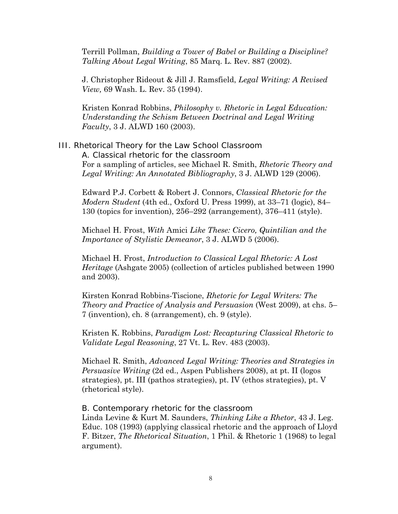Terrill Pollman, *Building a Tower of Babel or Building a Discipline? Talking About Legal Writing*, 85 Marq. L. Rev. 887 (2002).

J. Christopher Rideout & Jill J. Ramsfield, *Legal Writing: A Revised View,* 69 Wash. L. Rev. 35 (1994).

Kristen Konrad Robbins, *Philosophy v. Rhetoric in Legal Education: Understanding the Schism Between Doctrinal and Legal Writing Faculty*, 3 J. ALWD 160 (2003).

III. Rhetorical Theory for the Law School Classroom A. *Classical rhetoric for the classroom*  For a sampling of articles, see Michael R. Smith, *Rhetoric Theory and Legal Writing: An Annotated Bibliography*, 3 J. ALWD 129 (2006).

Edward P.J. Corbett & Robert J. Connors, *Classical Rhetoric for the Modern Student* (4th ed., Oxford U. Press 1999), at 33–71 (logic), 84– 130 (topics for invention), 256–292 (arrangement), 376–411 (style).

Michael H. Frost, *With* Amici *Like These: Cicero, Quintilian and the Importance of Stylistic Demeanor*, 3 J. ALWD 5 (2006).

Michael H. Frost, *Introduction to Classical Legal Rhetoric: A Lost Heritage* (Ashgate 2005) (collection of articles published between 1990 and 2003).

Kirsten Konrad Robbins-Tiscione, *Rhetoric for Legal Writers: The Theory and Practice of Analysis and Persuasion* (West 2009), at chs. 5– 7 (invention), ch. 8 (arrangement), ch. 9 (style).

Kristen K. Robbins, *Paradigm Lost: Recapturing Classical Rhetoric to Validate Legal Reasoning*, 27 Vt. L. Rev. 483 (2003).

Michael R. Smith, *Advanced Legal Writing: Theories and Strategies in Persuasive Writing* (2d ed., Aspen Publishers 2008), at pt. II (logos strategies), pt. III (pathos strategies), pt. IV (ethos strategies), pt. V (rhetorical style).

## B. *Contemporary rhetoric for the classroom*

Linda Levine & Kurt M. Saunders, *Thinking Like a Rhetor*, 43 J. Leg. Educ. 108 (1993) (applying classical rhetoric and the approach of Lloyd F. Bitzer, *The Rhetorical Situation*, 1 Phil. & Rhetoric 1 (1968) to legal argument).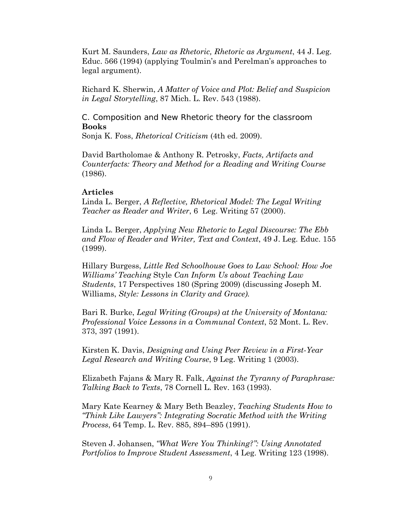Kurt M. Saunders, *Law as Rhetoric, Rhetoric as Argument*, 44 J. Leg. Educ. 566 (1994) (applying Toulmin's and Perelman's approaches to legal argument).

Richard K. Sherwin, *A Matter of Voice and Plot: Belief and Suspicion in Legal Storytelling*, 87 Mich. L. Rev. 543 (1988).

C. *Composition and New Rhetoric theory for the classroom* **Books**  Sonja K. Foss, *Rhetorical Criticism* (4th ed. 2009).

David Bartholomae & Anthony R. Petrosky, *Facts, Artifacts and Counterfacts: Theory and Method for a Reading and Writing Course* (1986).

## **Articles**

Linda L. Berger, *A Reflective, Rhetorical Model: The Legal Writing Teacher as Reader and Writer*, 6 Leg. Writing 57 (2000).

Linda L. Berger, *Applying New Rhetoric to Legal Discourse: The Ebb and Flow of Reader and Writer, Text and Context*, 49 J. Leg. Educ. 155 (1999).

Hillary Burgess, *Little Red Schoolhouse Goes to Law School: How Joe Williams' Teaching* Style *Can Inform Us about Teaching Law Students*, 17 Perspectives 180 (Spring 2009) (discussing Joseph M. Williams, *Style: Lessons in Clarity and Grace).*

Bari R. Burke, *Legal Writing (Groups) at the University of Montana: Professional Voice Lessons in a Communal Context*, 52 Mont. L. Rev. 373, 397 (1991).

Kirsten K. Davis, *Designing and Using Peer Review in a First-Year Legal Research and Writing Course*, 9 Leg. Writing 1 (2003).

Elizabeth Fajans & Mary R. Falk, *Against the Tyranny of Paraphrase: Talking Back to Texts*, 78 Cornell L. Rev. 163 (1993).

Mary Kate Kearney & Mary Beth Beazley, *Teaching Students How to "Think Like Lawyers": Integrating Socratic Method with the Writing Process*, 64 Temp. L. Rev. 885, 894–895 (1991).

Steven J. Johansen, *"What Were You Thinking?": Using Annotated Portfolios to Improve Student Assessment*, 4 Leg. Writing 123 (1998).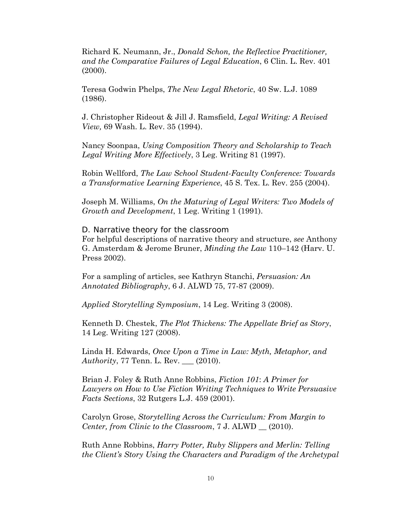Richard K. Neumann, Jr., *Donald Schon, the Reflective Practitioner, and the Comparative Failures of Legal Education*, 6 Clin. L. Rev. 401 (2000).

Teresa Godwin Phelps, *The New Legal Rhetoric*, 40 Sw. L.J. 1089 (1986).

J. Christopher Rideout & Jill J. Ramsfield, *Legal Writing: A Revised View,* 69 Wash. L. Rev. 35 (1994).

Nancy Soonpaa, *Using Composition Theory and Scholarship to Teach Legal Writing More Effectively*, 3 Leg. Writing 81 (1997).

Robin Wellford, *The Law School Student-Faculty Conference: Towards a Transformative Learning Experience*, 45 S. Tex. L. Rev. 255 (2004).

Joseph M. Williams, *On the Maturing of Legal Writers: Two Models of Growth and Development*, 1 Leg. Writing 1 (1991).

D. *Narrative theory for the classroom* 

For helpful descriptions of narrative theory and structure, *see* Anthony G. Amsterdam & Jerome Bruner, *Minding the Law* 110–142 (Harv. U. Press 2002).

For a sampling of articles, see Kathryn Stanchi, *Persuasion: An Annotated Bibliography*, 6 J. ALWD 75, 77-87 (2009).

*Applied Storytelling Symposium*, 14 Leg. Writing 3 (2008).

Kenneth D. Chestek, *The Plot Thickens: The Appellate Brief as Story*, 14 Leg. Writing 127 (2008).

Linda H. Edwards, *Once Upon a Time in Law: Myth, Metaphor, and Authority*, 77 Tenn. L. Rev. \_\_\_ (2010).

Brian J. Foley & Ruth Anne Robbins, *Fiction 101*: *A Primer for Lawyers on How to Use Fiction Writing Techniques to Write Persuasive Facts Sections*, 32 Rutgers L.J. 459 (2001).

Carolyn Grose, *Storytelling Across the Curriculum: From Margin to Center, from Clinic to the Classroom*, 7 J. ALWD \_\_ (2010).

Ruth Anne Robbins, *Harry Potter, Ruby Slippers and Merlin: Telling the Client's Story Using the Characters and Paradigm of the Archetypal*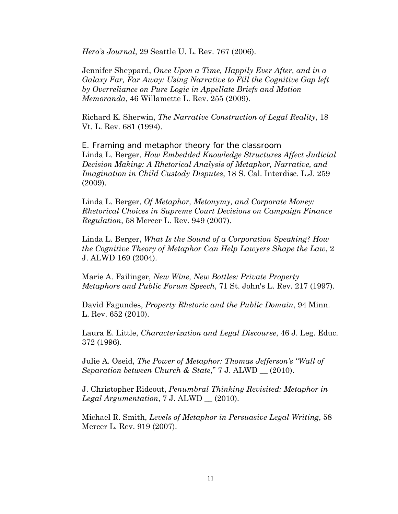*Hero's Journal*, 29 Seattle U. L. Rev. 767 (2006).

Jennifer Sheppard, *Once Upon a Time, Happily Ever After, and in a Galaxy Far, Far Away: Using Narrative to Fill the Cognitive Gap left by Overreliance on Pure Logic in Appellate Briefs and Motion Memoranda*, 46 Willamette L. Rev. 255 (2009).

Richard K. Sherwin, *The Narrative Construction of Legal Reality*, 18 Vt. L. Rev. 681 (1994).

E. *Framing and metaphor theory for the classroom*  Linda L. Berger, *How Embedded Knowledge Structures Affect Judicial Decision Making: A Rhetorical Analysis of Metaphor, Narrative, and Imagination in Child Custody Disputes*, 18 S. Cal. Interdisc. L.J. 259 (2009).

Linda L. Berger, *Of Metaphor, Metonymy, and Corporate Money: Rhetorical Choices in Supreme Court Decisions on Campaign Finance Regulation*, 58 Mercer L. Rev. 949 (2007).

Linda L. Berger, *What Is the Sound of a Corporation Speaking? How the Cognitive Theory of Metaphor Can Help Lawyers Shape the Law*, 2 J. ALWD 169 (2004).

Marie A. Failinger, *New Wine, New Bottles: Private Property Metaphors and Public Forum Speech*, 71 St. John's L. Rev. 217 (1997).

David Fagundes, *Property Rhetoric and the Public Domain*, 94 Minn. L. Rev. 652 (2010).

Laura E. Little, *Characterization and Legal Discourse*, 46 J. Leg. Educ. 372 (1996).

Julie A. Oseid, *The Power of Metaphor: Thomas Jefferson's "Wall of Separation between Church & State*," 7 J. ALWD \_\_ (2010).

J. Christopher Rideout, *Penumbral Thinking Revisited: Metaphor in Legal Argumentation*, 7 J. ALWD \_\_ (2010).

Michael R. Smith, *Levels of Metaphor in Persuasive Legal Writing*, 58 Mercer L. Rev. 919 (2007).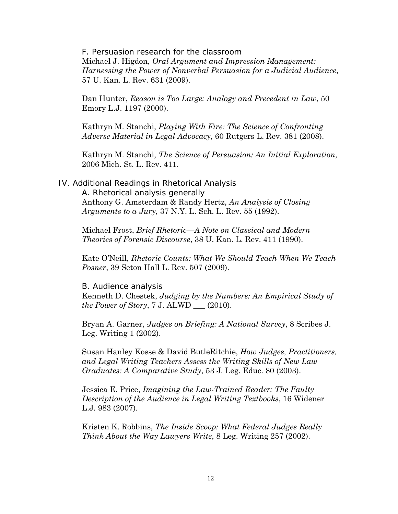F. *Persuasion research for the classroom*  Michael J. Higdon, *Oral Argument and Impression Management: Harnessing the Power of Nonverbal Persuasion for a Judicial Audience*, 57 U. Kan. L. Rev. 631 (2009).

Dan Hunter, *Reason is Too Large: Analogy and Precedent in Law*, 50 Emory L.J. 1197 (2000).

Kathryn M. Stanchi, *Playing With Fire: The Science of Confronting Adverse Material in Legal Advocacy*, 60 Rutgers L. Rev. 381 (2008).

Kathryn M. Stanchi, *The Science of Persuasion: An Initial Exploration*, 2006 Mich. St. L. Rev. 411.

## IV. Additional Readings in Rhetorical Analysis

A. *Rhetorical analysis generally*  Anthony G. Amsterdam & Randy Hertz, *An Analysis of Closing Arguments to a Jury*, 37 N.Y. L. Sch. L. Rev. 55 (1992).

Michael Frost, *Brief Rhetoric—A Note on Classical and Modern Theories of Forensic Discourse*, 38 U. Kan. L. Rev. 411 (1990).

Kate O'Neill, *Rhetoric Counts: What We Should Teach When We Teach Posner*, 39 Seton Hall L. Rev. 507 (2009).

### B. *Audience analysis*

Kenneth D. Chestek, *Judging by the Numbers: An Empirical Study of the Power of Story*, 7 J. ALWD \_\_\_ (2010).

Bryan A. Garner, *Judges on Briefing: A National Survey*, 8 Scribes J. Leg. Writing 1 (2002).

Susan Hanley Kosse & David ButleRitchie, *How Judges, Practitioners, and Legal Writing Teachers Assess the Writing Skills of New Law Graduates: A Comparative Study*, 53 J. Leg. Educ. 80 (2003).

Jessica E. Price, *Imagining the Law-Trained Reader: The Faulty Description of the Audience in Legal Writing Textbooks*, 16 Widener L.J. 983 (2007).

Kristen K. Robbins, *The Inside Scoop: What Federal Judges Really Think About the Way Lawyers Write*, 8 Leg. Writing 257 (2002).